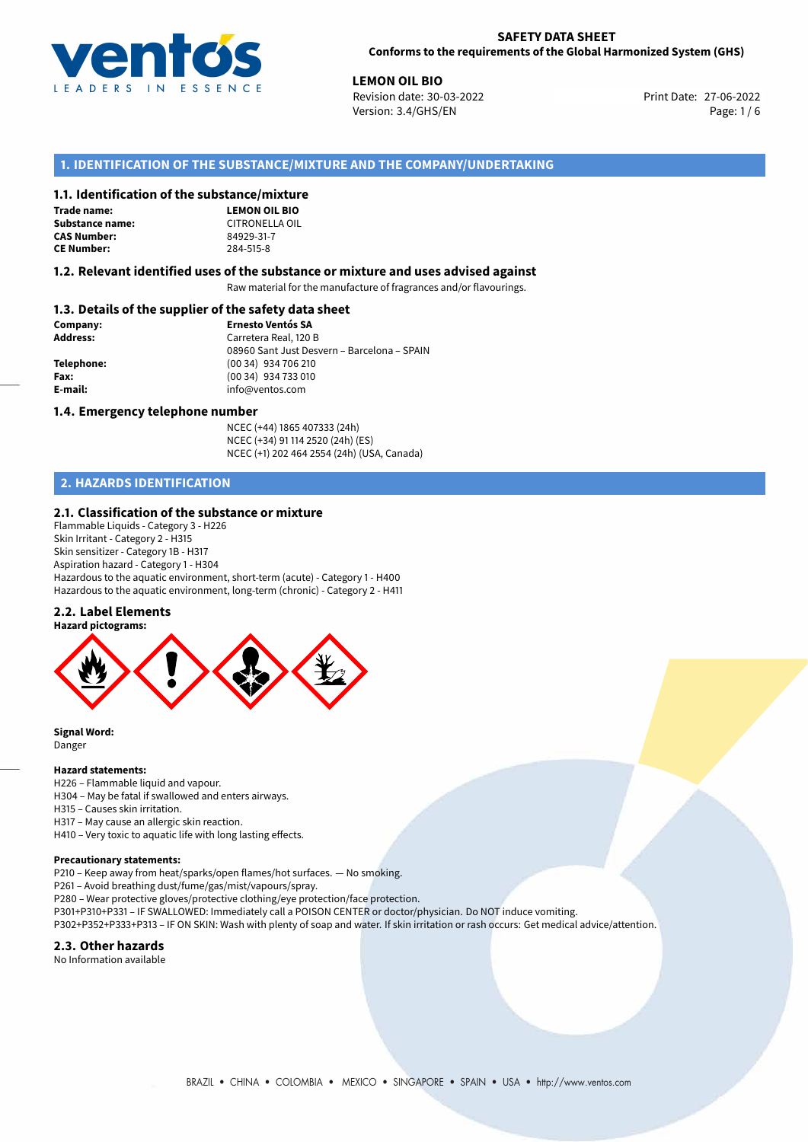

**LEMON OIL BIO**<br>27-06-2022 **Revision date: 30-03-2022** Print Date: 27-06-2022 Version: 3.4/GHS/EN Page: 1 / 6

## **1. IDENTIFICATION OF THE SUBSTANCE/MIXTURE AND THE COMPANY/UNDERTAKING**

## **1.1. Identification of the substance/mixture**

**Trade name: Substance name:** CITRONELLA OIL<br> **CAS Number:** 84929-31-7 **CAS Number: CE Number:** 284-515-8

**LEMON OIL BIO**

## **1.2. Relevant identified uses of the substance or mixture and uses advised against**

Raw material for the manufacture of fragrances and/or flavourings.

## **1.3. Details of the supplier of the safety data sheet**

| Company:        | <b>Ernesto Ventós SA</b>                    |
|-----------------|---------------------------------------------|
| <b>Address:</b> | Carretera Real, 120 B                       |
|                 | 08960 Sant Just Desvern - Barcelona - SPAIN |
| Telephone:      | (00 34) 934 706 210                         |
| Fax:            | (00 34) 934 733 010                         |
| E-mail:         | info@ventos.com                             |
|                 |                                             |

### **1.4. Emergency telephone number**

NCEC (+44) 1865 407333 (24h) NCEC (+34) 91 114 2520 (24h) (ES) NCEC (+1) 202 464 2554 (24h) (USA, Canada)

# **2. HAZARDS IDENTIFICATION**

### **2.1. Classification of the substance or mixture**

Flammable Liquids - Category 3 - H226 Skin Irritant - Category 2 - H315 Skin sensitizer - Category 1B - H317 Aspiration hazard - Category 1 - H304 Hazardous to the aquatic environment, short-term (acute) - Category 1 - H400 Hazardous to the aquatic environment, long-term (chronic) - Category 2 - H411

#### **2.2. Label Elements**



**Signal Word:** Danger

## **Hazard statements:**

H226 – Flammable liquid and vapour.

- H304 May be fatal if swallowed and enters airways.
- H315 Causes skin irritation.
- H317 May cause an allergic skin reaction.

H410 – Very toxic to aquatic life with long lasting effects.

#### **Precautionary statements:**

P210 – Keep away from heat/sparks/open flames/hot surfaces. — No smoking.

P261 – Avoid breathing dust/fume/gas/mist/vapours/spray.

P280 – Wear protective gloves/protective clothing/eye protection/face protection.

P301+P310+P331 – IF SWALLOWED: Immediately call a POISON CENTER or doctor/physician. Do NOT induce vomiting.

P302+P352+P333+P313 – IF ON SKIN: Wash with plenty of soap and water. If skin irritation or rash occurs: Get medical advice/attention.

### **2.3. Other hazards**

No Information available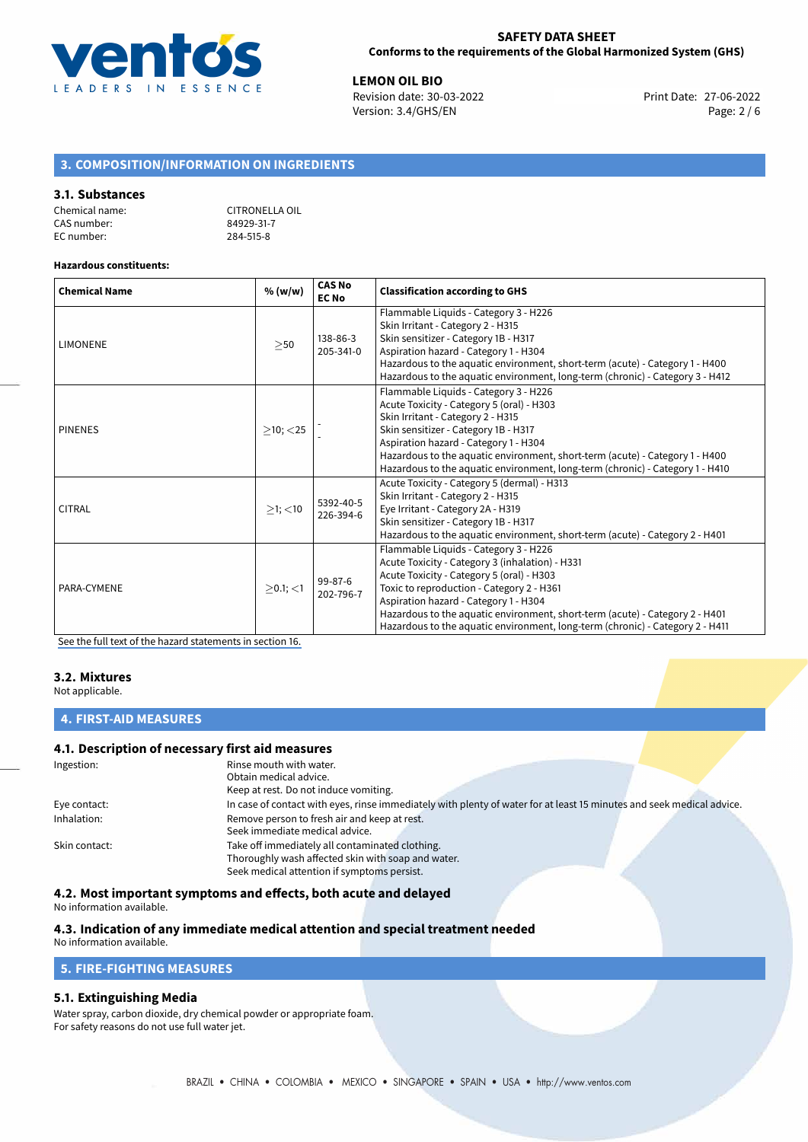

**LEMON OIL BIO**<br>
Revision date: 30-03-2022 **Print Date: 27-06-2022** Version: 3.4/GHS/EN Page: 2 / 6

## **3. COMPOSITION/INFORMATION ON INGREDIENTS**

#### **3.1. Substances**

| Chemical name: | CITRONELLA OIL |
|----------------|----------------|
| CAS number:    | 84929-31-7     |
| EC number:     | 284-515-8      |

#### **Hazardous constituents:**

| <b>Chemical Name</b> | % (w/w)        | <b>CAS No</b><br><b>EC No</b> | <b>Classification according to GHS</b>                                                                                                                                                                                                                                                                                                                                                       |
|----------------------|----------------|-------------------------------|----------------------------------------------------------------------------------------------------------------------------------------------------------------------------------------------------------------------------------------------------------------------------------------------------------------------------------------------------------------------------------------------|
| <b>LIMONENE</b>      | >50            | 138-86-3<br>205-341-0         | Flammable Liquids - Category 3 - H226<br>Skin Irritant - Category 2 - H315<br>Skin sensitizer - Category 1B - H317<br>Aspiration hazard - Category 1 - H304<br>Hazardous to the aquatic environment, short-term (acute) - Category 1 - H400<br>Hazardous to the aquatic environment, long-term (chronic) - Category 3 - H412                                                                 |
| <b>PINENES</b>       | $\geq$ 10; <25 |                               | Flammable Liquids - Category 3 - H226<br>Acute Toxicity - Category 5 (oral) - H303<br>Skin Irritant - Category 2 - H315<br>Skin sensitizer - Category 1B - H317<br>Aspiration hazard - Category 1 - H304<br>Hazardous to the aquatic environment, short-term (acute) - Category 1 - H400<br>Hazardous to the aquatic environment, long-term (chronic) - Category 1 - H410                    |
| <b>CITRAL</b>        | $>1$ ; $<$ 10  | 5392-40-5<br>226-394-6        | Acute Toxicity - Category 5 (dermal) - H313<br>Skin Irritant - Category 2 - H315<br>Eye Irritant - Category 2A - H319<br>Skin sensitizer - Category 1B - H317<br>Hazardous to the aquatic environment, short-term (acute) - Category 2 - H401                                                                                                                                                |
| PARA-CYMENE          | $>0.1$ ; <1    | $99 - 87 - 6$<br>202-796-7    | Flammable Liquids - Category 3 - H226<br>Acute Toxicity - Category 3 (inhalation) - H331<br>Acute Toxicity - Category 5 (oral) - H303<br>Toxic to reproduction - Category 2 - H361<br>Aspiration hazard - Category 1 - H304<br>Hazardous to the aquatic environment, short-term (acute) - Category 2 - H401<br>Hazardous to the aquatic environment, long-term (chronic) - Category 2 - H411 |

[See the full text of the hazard statements in section 16.](#page-4-0)

## **3.2. Mixtures**

Not applicable.

## **4. FIRST-AID MEASURES**

## **4.1. Description of necessary first aid measures**

| Ingestion:    | Rinse mouth with water.<br>Obtain medical advice.                                                                                                    |
|---------------|------------------------------------------------------------------------------------------------------------------------------------------------------|
|               | Keep at rest. Do not induce vomiting.                                                                                                                |
| Eye contact:  | In case of contact with eyes, rinse immediately with plenty of water for at least 15 minutes and seek medical advice.                                |
| Inhalation:   | Remove person to fresh air and keep at rest.<br>Seek immediate medical advice.                                                                       |
| Skin contact: | Take off immediately all contaminated clothing.<br>Thoroughly wash affected skin with soap and water.<br>Seek medical attention if symptoms persist. |

## **4.2. Most important symptoms and effects, both acute and delayed**

No information available.

#### **4.3. Indication of any immediate medical attention and special treatment needed** No information available.

**5. FIRE-FIGHTING MEASURES**

## **5.1. Extinguishing Media**

Water spray, carbon dioxide, dry chemical powder or appropriate foam. For safety reasons do not use full water jet.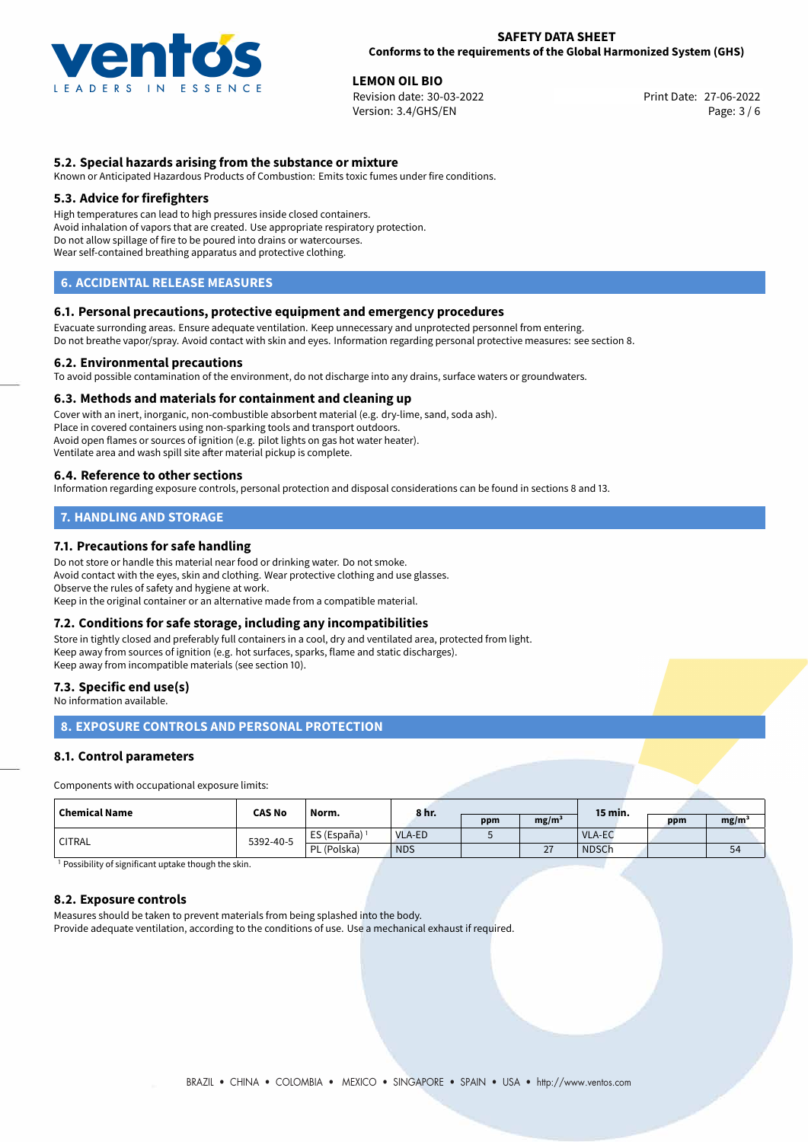

**LEMON OIL BIO**<br>
Revision date: 30-03-2022 **Legal Contract Print Date: 27-06-2022** Revision date: 30-03-2022 Version: 3.4/GHS/EN Page: 3 / 6

## **5.2. Special hazards arising from the substance or mixture**

Known or Anticipated Hazardous Products of Combustion: Emits toxic fumes under fire conditions.

## **5.3. Advice for firefighters**

High temperatures can lead to high pressures inside closed containers. Avoid inhalation of vapors that are created. Use appropriate respiratory protection. Do not allow spillage of fire to be poured into drains or watercourses. Wear self-contained breathing apparatus and protective clothing.

## **6. ACCIDENTAL RELEASE MEASURES**

## **6.1. Personal precautions, protective equipment and emergency procedures**

Evacuate surronding areas. Ensure adequate ventilation. Keep unnecessary and unprotected personnel from entering. Do not breathe vapor/spray. Avoid contact with skin and eyes. Information regarding personal protective measures: see section 8.

### **6.2. Environmental precautions**

To avoid possible contamination of the environment, do not discharge into any drains, surface waters or groundwaters.

#### **6.3. Methods and materials for containment and cleaning up**

Cover with an inert, inorganic, non-combustible absorbent material (e.g. dry-lime, sand, soda ash). Place in covered containers using non-sparking tools and transport outdoors. Avoid open flames or sources of ignition (e.g. pilot lights on gas hot water heater). Ventilate area and wash spill site after material pickup is complete.

#### **6.4. Reference to other sections**

Information regarding exposure controls, personal protection and disposal considerations can be found in sections 8 and 13.

# **7. HANDLING AND STORAGE**

## **7.1. Precautions for safe handling**

Do not store or handle this material near food or drinking water. Do not smoke. Avoid contact with the eyes, skin and clothing. Wear protective clothing and use glasses. Observe the rules of safety and hygiene at work. Keep in the original container or an alternative made from a compatible material.

## **7.2. Conditions for safe storage, including any incompatibilities**

Store in tightly closed and preferably full containers in a cool, dry and ventilated area, protected from light. Keep away from sources of ignition (e.g. hot surfaces, sparks, flame and static discharges). Keep away from incompatible materials (see section 10).

#### **7.3. Specific end use(s)**

No information available.

## **8. EXPOSURE CONTROLS AND PERSONAL PROTECTION**

## **8.1. Control parameters**

Components with occupational exposure limits:

| Chemical Name | <b>CAS No</b> | Norm.         | 8 hr.         |     |                   | 15 min.       |     |                   |
|---------------|---------------|---------------|---------------|-----|-------------------|---------------|-----|-------------------|
|               |               |               |               | ppm | mg/m <sup>3</sup> |               | ppm | mg/m <sup>3</sup> |
| <b>CITRAL</b> | 5392-40-5     | ES (España) 1 | <b>VLA-ED</b> |     |                   | <b>VLA-EC</b> |     |                   |
|               |               | PL (Polska)   | <b>NDS</b>    |     | $\sim$<br>$\sim$  | <b>NDSCh</b>  |     | 54                |

<sup>1</sup> Possibility of significant uptake though the skin.

#### **8.2. Exposure controls**

Measures should be taken to prevent materials from being splashed into the body. Provide adequate ventilation, according to the conditions of use. Use a mechanical exhaust if required.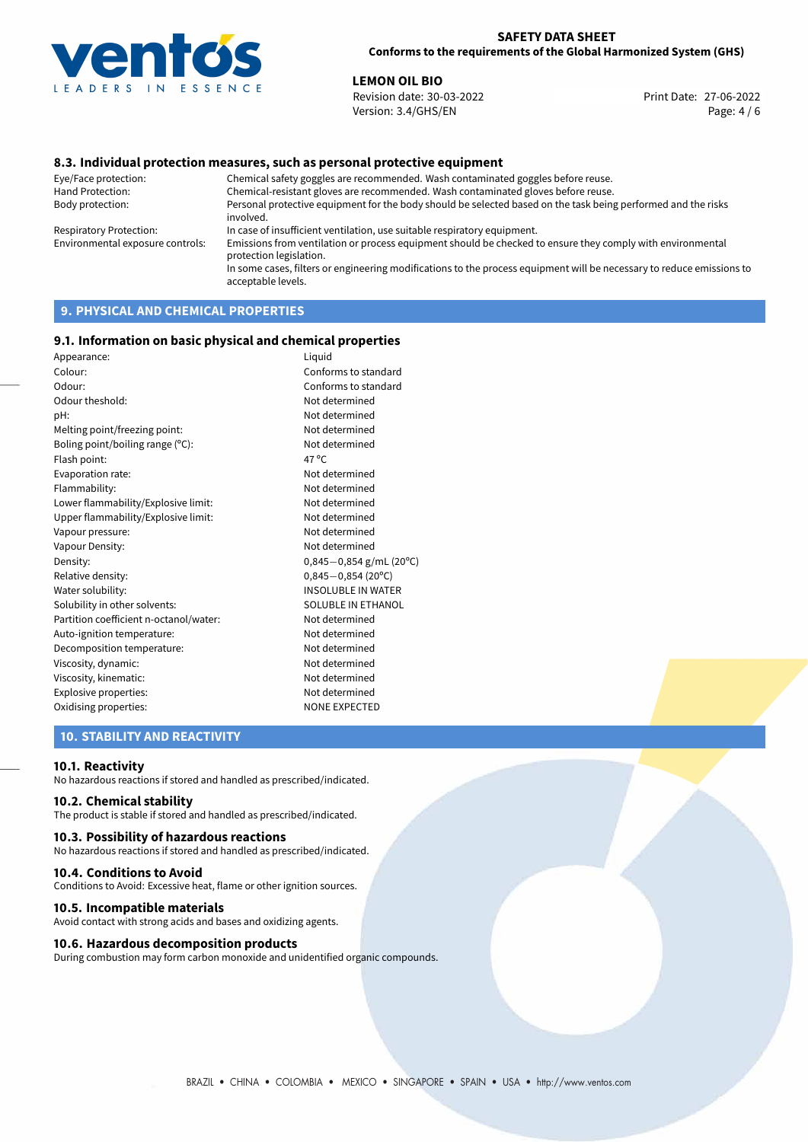

**LEMON OIL BIO**<br>
Revision date: 30-03-2022 **Print Date: 27-06-2022** Version: 3.4/GHS/EN Page: 4 / 6

## **8.3. Individual protection measures, such as personal protective equipment**

Eye/Face protection: Chemical safety goggles are recommended. Wash contaminated goggles before reuse. Chemical-resistant gloves are recommended. Wash contaminated gloves before reuse. Body protection: Personal protective equipment for the body should be selected based on the task being performed and the risks involved. Respiratory Protection: In case of insufficient ventilation, use suitable respiratory equipment. Environmental exposure controls: Emissions from ventilation or process equipment should be checked to ensure they comply with environmental protection legislation. In some cases, filters or engineering modifications to the process equipment will be necessary to reduce emissions to acceptable levels.

# **9. PHYSICAL AND CHEMICAL PROPERTIES**

### **9.1. Information on basic physical and chemical properties**

| Appearance:                            | Liquid                    |
|----------------------------------------|---------------------------|
| Colour:                                | Conforms to standard      |
| Odour:                                 | Conforms to standard      |
| Odour theshold:                        | Not determined            |
| pH:                                    | Not determined            |
| Melting point/freezing point:          | Not determined            |
| Boling point/boiling range (°C):       | Not determined            |
| Flash point:                           | 47 °C                     |
| Evaporation rate:                      | Not determined            |
| Flammability:                          | Not determined            |
| Lower flammability/Explosive limit:    | Not determined            |
| Upper flammability/Explosive limit:    | Not determined            |
| Vapour pressure:                       | Not determined            |
| Vapour Density:                        | Not determined            |
| Density:                               | $0,845-0,854$ g/mL (20°C) |
| Relative density:                      | $0,845 - 0,854$ (20°C)    |
| Water solubility:                      | <b>INSOLUBLE IN WATER</b> |
| Solubility in other solvents:          | SOLUBLE IN ETHANOL        |
| Partition coefficient n-octanol/water: | Not determined            |
| Auto-ignition temperature:             | Not determined            |
| Decomposition temperature:             | Not determined            |
| Viscosity, dynamic:                    | Not determined            |
| Viscosity, kinematic:                  | Not determined            |
| Explosive properties:                  | Not determined            |
| Oxidising properties:                  | <b>NONE EXPECTED</b>      |
|                                        |                           |

## **10. STABILITY AND REACTIVITY**

#### **10.1. Reactivity**

No hazardous reactions if stored and handled as prescribed/indicated.

## **10.2. Chemical stability**

The product is stable if stored and handled as prescribed/indicated.

## **10.3. Possibility of hazardous reactions**

No hazardous reactions if stored and handled as prescribed/indicated.

#### **10.4. Conditions to Avoid**

Conditions to Avoid: Excessive heat, flame or other ignition sources.

## **10.5. Incompatible materials**

Avoid contact with strong acids and bases and oxidizing agents.

## **10.6. Hazardous decomposition products**

During combustion may form carbon monoxide and unidentified organic compounds.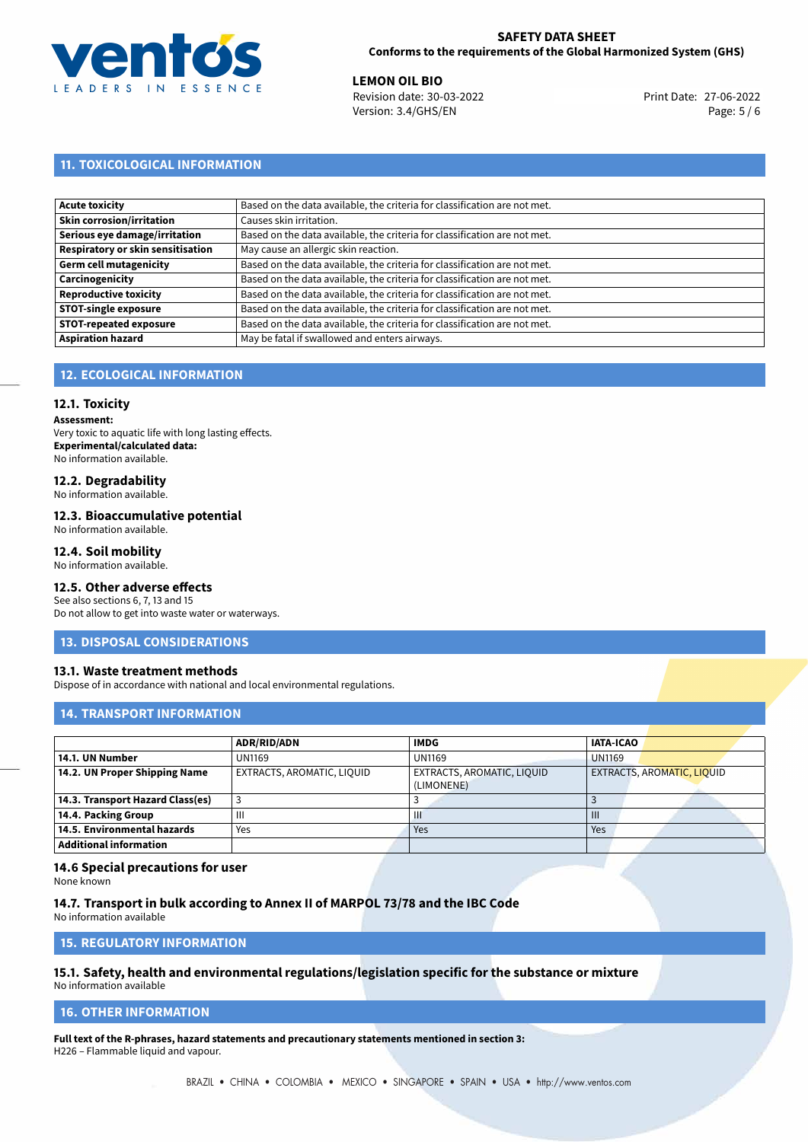

**LEMON OIL BIO**<br>
Revision date: 30-03-2022 **Print Date: 27-06-2022** Version: 3.4/GHS/EN Page: 5 / 6

# **11. TOXICOLOGICAL INFORMATION**

| Acute toxicity                    | Based on the data available, the criteria for classification are not met. |
|-----------------------------------|---------------------------------------------------------------------------|
| Skin corrosion/irritation         | Causes skin irritation.                                                   |
| Serious eye damage/irritation     | Based on the data available, the criteria for classification are not met. |
| Respiratory or skin sensitisation | May cause an allergic skin reaction.                                      |
| Germ cell mutagenicity            | Based on the data available, the criteria for classification are not met. |
| Carcinogenicity                   | Based on the data available, the criteria for classification are not met. |
| Reproductive toxicity             | Based on the data available, the criteria for classification are not met. |
| <b>STOT-single exposure</b>       | Based on the data available, the criteria for classification are not met. |
| <b>STOT-repeated exposure</b>     | Based on the data available, the criteria for classification are not met. |
| Aspiration hazard                 | May be fatal if swallowed and enters airways.                             |

## **12. ECOLOGICAL INFORMATION**

### **12.1. Toxicity**

**Assessment:** Very toxic to aquatic life with long lasting effects. **Experimental/calculated data:** No information available.

# **12.2. Degradability**

No information available.

#### **12.3. Bioaccumulative potential**

No information available.

## **12.4. Soil mobility**

No information available.

# **12.5. Other adverse effects**

See also sections 6, 7, 13 and 15 Do not allow to get into waste water or waterways.

#### **13. DISPOSAL CONSIDERATIONS**

#### **13.1. Waste treatment methods**

Dispose of in accordance with national and local environmental regulations.

## **14. TRANSPORT INFORMATION**

|                                  | <b>ADR/RID/ADN</b>         | <b>IMDG</b>                              | <b>IATA-ICAO</b>           |
|----------------------------------|----------------------------|------------------------------------------|----------------------------|
| 14.1. UN Number                  | <b>UN1169</b>              | <b>UN1169</b>                            | <b>UN1169</b>              |
| 14.2. UN Proper Shipping Name    | EXTRACTS, AROMATIC, LIQUID | EXTRACTS, AROMATIC, LIQUID<br>(LIMONENE) | EXTRACTS, AROMATIC, LIQUID |
| 14.3. Transport Hazard Class(es) |                            |                                          |                            |
| 14.4. Packing Group              | Ш                          | Ш                                        | Ш                          |
| 14.5. Environmental hazards      | Yes                        | Yes                                      | Yes                        |
| <b>Additional information</b>    |                            |                                          |                            |

## **14.6 Special precautions for user**

None known

**14.7. Transport in bulk according to Annex II of MARPOL 73/78 and the IBC Code** No information available

**15. REGULATORY INFORMATION**

# **15.1. Safety, health and environmental regulations/legislation specific for the substance or mixture**

No information available

## <span id="page-4-0"></span>**16. OTHER INFORMATION**

**Full text of the R-phrases, hazard statements and precautionary statements mentioned in section 3:** H226 – Flammable liquid and vapour.